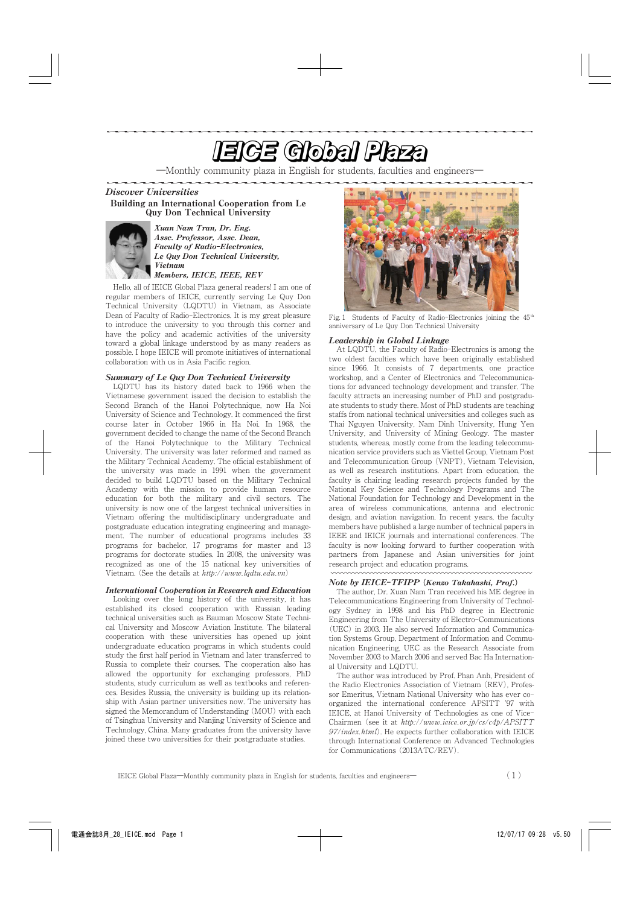# <u>e de la componentación de la componentación de la componentación de la componentación de la componentación de la componentación de la componentación de la componentación de la componentación de la componentación de la com</u>

―Monthly community plaza in English for students, faculties and engineers―

Discover Universities Building an International Cooperation from Le Quy Don Technical University



Xuan Nam Tran, Dr. Eng. Assc. Professor, Assc. Dean, Faculty of Radio**-**Electronics, Le Quy Don Technical University, Vietnam Members, IEICE, IEEE, REV

Hello, all of IEICE Global Plaza general readers! I am one of regular members of IEICE, currently serving Le Quy Don Technical University (LQDTU) in Vietnam, as Associate Dean of Faculty of Radio-Electronics. It is my great pleasure to introduce the university to you through this corner and have the policy and academic activities of the university toward a global linkage understood by as many readers as possible. I hope IEICE will promote initiatives of international collaboration with us in Asia Pacific region.

### Summary of Le Quy Don Technical University

LQDTU has its history dated back to 1966 when the Vietnamese government issued the decision to establish the Second Branch of the Hanoi Polytechnique, now Ha Noi University of Science and Technology. It commenced the first course later in October 1966 in Ha Noi. In 1968, the government decided to change the name of the Second Branch of the Hanoi Polytechnique to the Military Technical University. The university was later reformed and named as the Military Technical Academy. The official establishment of the university was made in 1991 when the government decided to build LQDTU based on the Military Technical Academy with the mission to provide human resource education for both the military and civil sectors. The university is now one of the largest technical universities in Vietnam offering the multidisciplinary undergraduate and postgraduate education integrating engineering and management. The number of educational programs includes 33 programs for bachelor, 17 programs for master and 13 programs for doctorate studies. In 2008, the university was recognized as one of the 15 national key universities of Vietnam. (See the details at  $http://www.lqdtu.edu.vn)$ 

## International Cooperation in Research and Education

Looking over the long history of the university, it has established its closed cooperation with Russian leading technical universities such as Bauman Moscow State Technical University and Moscow Aviation Institute. The bilateral cooperation with these universities has opened up joint undergraduate education programs in which students could study the first half period in Vietnam and later transferred to Russia to complete their courses. The cooperation also has allowed the opportunity for exchanging professors, PhD students, study curriculum as well as textbooks and references. Besides Russia, the university is building up its relationship with Asian partner universities now. The university has signed the Memorandum of Understanding (MOU) with each of Tsinghua University and Nanjing University of Science and Technology, China. Many graduates from the university have joined these two universities for their postgraduate studies.



Fig. 1 Students of Faculty of Radio-Electronics joining the  $45<sup>th</sup>$ anniversary of Le Quy Don Technical University

#### Leadership in Global Linkage

At LQDTU, the Faculty of Radio-Electronics is among the two oldest faculties which have been originally established since 1966. It consists of 7 departments, one practice workshop, and a Center of Electronics and Telecommunications for advanced technology development and transfer. The faculty attracts an increasing number of PhD and postgraduate students to study there. Most of PhD students are teaching staffs from national technical universities and colleges such as Thai Nguyen University, Nam Dinh University, Hung Yen University, and University of Mining Geology. The master students, whereas, mostly come from the leading telecommunication service providers such as Viettel Group, Vietnam Post and Telecommunication Group (VNPT), Vietnam Television, as well as research institutions. Apart from education, the faculty is chairing leading research projects funded by the National Key Science and Technology Programs and The National Foundation for Technology and Development in the area of wireless communications, antenna and electronic design, and aviation navigation. In recent years, the faculty members have published a large number of technical papers in IEEE and IEICE journals and international conferences. The faculty is now looking forward to further cooperation with partners from Japanese and Asian universities for joint research project and education programs.

#### Note by IEICE**-**TFIPP **(**Kenzo Takahashi, Prof.**)**

The author, Dr. Xuan Nam Tran received his ME degree in Telecommunications Engineering from University of Technology Sydney in 1998 and his PhD degree in Electronic Engineering from The University of Electro-Communications (UEC) in 2003. He also served Information and Communication Systems Group, Department of Information and Communication Engineering, UEC as the Research Associate from November 2003 to March 2006 and served Bac Ha International University and LQDTU.

The author was introduced by Prof. Phan Anh, President of the Radio Electronics Association of Vietnam (REV), Professor Emeritus, Vietnam National University who has ever coorganized the international conference APSITT '97 with IEICE, at Hanoi University of Technologies as one of Vice-Chairmen (see it at http://www.ieice.or.jp/cs/c4p/APSITT  $97/index.html$ . He expects further collaboration with IEICE through International Conference on Advanced Technologies for Communications (2013ATC/REV).